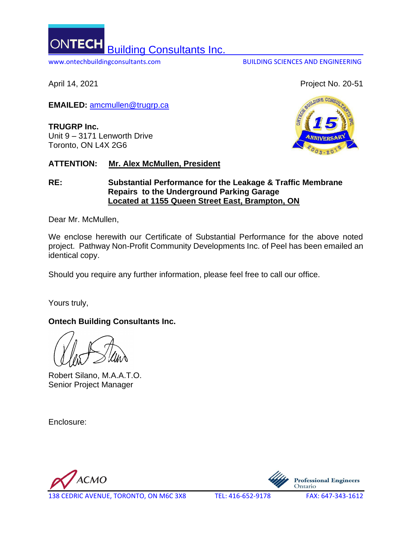ONTEC Building Consultants Inc. www.ontechbuildingconsultants.com BUILDING SCIENCES AND ENGINEERING

April 14, 2021 **Project No. 20-51** 

**EMAILED:** [amcmullen@trugrp.ca](mailto:amcmullen@trugrp.ca)

**TRUGRP Inc.** Unit 9 – 3171 Lenworth Drive Toronto, ON L4X 2G6

# **ATTENTION: Mr. Alex McMullen, President**

# **RE: Substantial Performance for the Leakage & Traffic Membrane Repairs to the Underground Parking Garage Located at 1155 Queen Street East, Brampton, ON**

Dear Mr. McMullen,

We enclose herewith our Certificate of Substantial Performance for the above noted project. Pathway Non-Profit Community Developments Inc. of Peel has been emailed an identical copy.

Should you require any further information, please feel free to call our office.

Yours truly,

# **Ontech Building Consultants Inc.**

Robert Silano, M.A.A.T.O. Senior Project Manager

Enclosure:

**ACMO** 



138 CEDRIC AVENUE, TORONTO, ON M6C 3X8 TEL: 416-652-9178 FAX: 647-343-1612

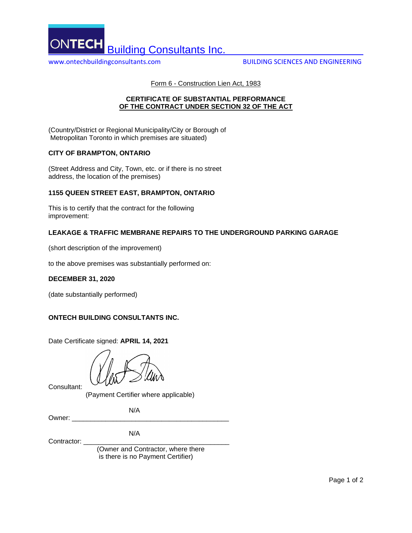

www.ontechbuildingconsultants.com BUILDING SCIENCES AND ENGINEERING

Form 6 - Construction Lien Act, 1983

## **CERTIFICATE OF SUBSTANTIAL PERFORMANCE OF THE CONTRACT UNDER SECTION 32 OF THE ACT**

(Country/District or Regional Municipality/City or Borough of Metropolitan Toronto in which premises are situated)

## **CITY OF BRAMPTON, ONTARIO**

(Street Address and City, Town, etc. or if there is no street address, the location of the premises)

## **1155 QUEEN STREET EAST, BRAMPTON, ONTARIO**

This is to certify that the contract for the following improvement:

## **LEAKAGE & TRAFFIC MEMBRANE REPAIRS TO THE UNDERGROUND PARKING GARAGE**

(short description of the improvement)

to the above premises was substantially performed on:

### **DECEMBER 31, 2020**

(date substantially performed)

### **ONTECH BUILDING CONSULTANTS INC.**

Date Certificate signed: **APRIL 14, 2021**

Consultant:

(Payment Certifier where applicable)

N/A

Owner:  $\_$ 

N/A

Contractor:

 (Owner and Contractor, where there is there is no Payment Certifier)